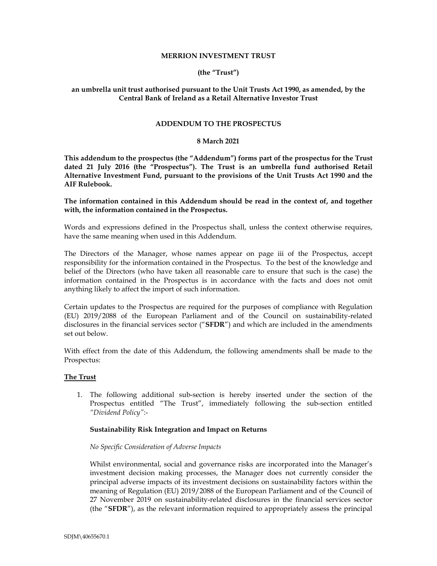## **MERRION INVESTMENT TRUST**

# **(the "Trust")**

# **an umbrella unit trust authorised pursuant to the Unit Trusts Act 1990, as amended, by the Central Bank of Ireland as a Retail Alternative Investor Trust**

# **ADDENDUM TO THE PROSPECTUS**

## **8 March 2021**

**This addendum to the prospectus (the "Addendum") forms part of the prospectus for the Trust dated 21 July 2016 (the "Prospectus"). The Trust is an umbrella fund authorised Retail Alternative Investment Fund, pursuant to the provisions of the Unit Trusts Act 1990 and the AIF Rulebook.** 

# **The information contained in this Addendum should be read in the context of, and together with, the information contained in the Prospectus.**

Words and expressions defined in the Prospectus shall, unless the context otherwise requires, have the same meaning when used in this Addendum.

The Directors of the Manager, whose names appear on page iii of the Prospectus, accept responsibility for the information contained in the Prospectus. To the best of the knowledge and belief of the Directors (who have taken all reasonable care to ensure that such is the case) the information contained in the Prospectus is in accordance with the facts and does not omit anything likely to affect the import of such information.

Certain updates to the Prospectus are required for the purposes of compliance with Regulation (EU) 2019/2088 of the European Parliament and of the Council on sustainability-related disclosures in the financial services sector ("**SFDR**") and which are included in the amendments set out below.

With effect from the date of this Addendum, the following amendments shall be made to the Prospectus:

# **The Trust**

1. The following additional sub-section is hereby inserted under the section of the Prospectus entitled "The Trust", immediately following the sub-section entitled *"Dividend Policy"*:-

#### **Sustainability Risk Integration and Impact on Returns**

# *No Specific Consideration of Adverse Impacts*

Whilst environmental, social and governance risks are incorporated into the Manager's investment decision making processes, the Manager does not currently consider the principal adverse impacts of its investment decisions on sustainability factors within the meaning of Regulation (EU) 2019/2088 of the European Parliament and of the Council of 27 November 2019 on sustainability-related disclosures in the financial services sector (the "**SFDR**"), as the relevant information required to appropriately assess the principal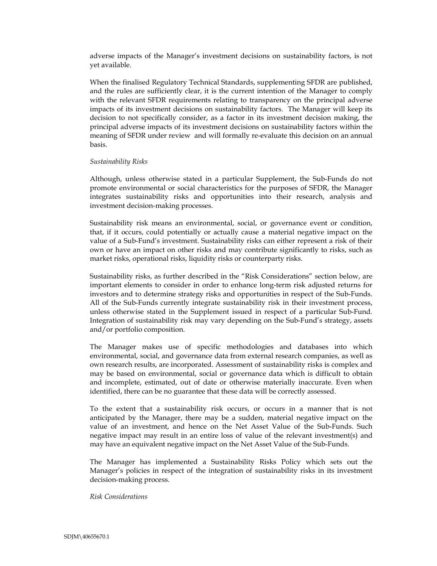adverse impacts of the Manager's investment decisions on sustainability factors, is not yet available.

When the finalised Regulatory Technical Standards, supplementing SFDR are published, and the rules are sufficiently clear, it is the current intention of the Manager to comply with the relevant SFDR requirements relating to transparency on the principal adverse impacts of its investment decisions on sustainability factors. The Manager will keep its decision to not specifically consider, as a factor in its investment decision making, the principal adverse impacts of its investment decisions on sustainability factors within the meaning of SFDR under review and will formally re-evaluate this decision on an annual basis.

#### *Sustainability Risks*

Although, unless otherwise stated in a particular Supplement, the Sub-Funds do not promote environmental or social characteristics for the purposes of SFDR, the Manager integrates sustainability risks and opportunities into their research, analysis and investment decision-making processes.

Sustainability risk means an environmental, social, or governance event or condition, that, if it occurs, could potentially or actually cause a material negative impact on the value of a Sub-Fund's investment. Sustainability risks can either represent a risk of their own or have an impact on other risks and may contribute significantly to risks, such as market risks, operational risks, liquidity risks or counterparty risks.

Sustainability risks, as further described in the "Risk Considerations" section below, are important elements to consider in order to enhance long-term risk adjusted returns for investors and to determine strategy risks and opportunities in respect of the Sub-Funds. All of the Sub-Funds currently integrate sustainability risk in their investment process, unless otherwise stated in the Supplement issued in respect of a particular Sub-Fund. Integration of sustainability risk may vary depending on the Sub-Fund's strategy, assets and/or portfolio composition.

The Manager makes use of specific methodologies and databases into which environmental, social, and governance data from external research companies, as well as own research results, are incorporated. Assessment of sustainability risks is complex and may be based on environmental, social or governance data which is difficult to obtain and incomplete, estimated, out of date or otherwise materially inaccurate. Even when identified, there can be no guarantee that these data will be correctly assessed.

To the extent that a sustainability risk occurs, or occurs in a manner that is not anticipated by the Manager, there may be a sudden, material negative impact on the value of an investment, and hence on the Net Asset Value of the Sub-Funds. Such negative impact may result in an entire loss of value of the relevant investment(s) and may have an equivalent negative impact on the Net Asset Value of the Sub-Funds.

The Manager has implemented a Sustainability Risks Policy which sets out the Manager's policies in respect of the integration of sustainability risks in its investment decision-making process.

*Risk Considerations*